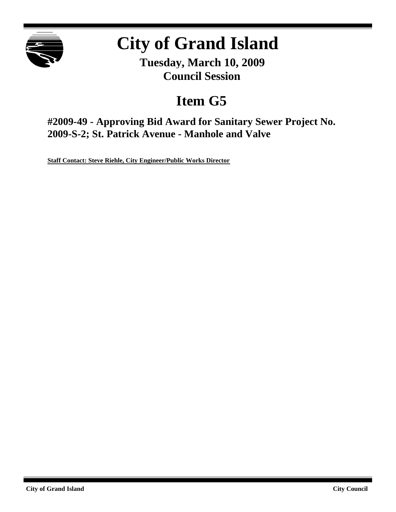

# **City of Grand Island**

**Tuesday, March 10, 2009 Council Session**

## **Item G5**

**#2009-49 - Approving Bid Award for Sanitary Sewer Project No. 2009-S-2; St. Patrick Avenue - Manhole and Valve**

**Staff Contact: Steve Riehle, City Engineer/Public Works Director**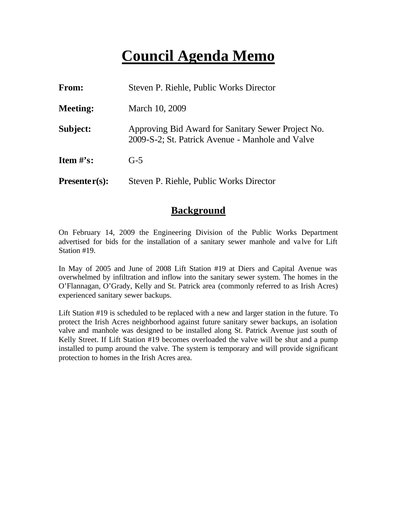## **Council Agenda Memo**

| <b>From:</b>    | Steven P. Riehle, Public Works Director                                                                |  |
|-----------------|--------------------------------------------------------------------------------------------------------|--|
| <b>Meeting:</b> | March 10, 2009                                                                                         |  |
| Subject:        | Approving Bid Award for Sanitary Sewer Project No.<br>2009-S-2; St. Patrick Avenue - Manhole and Valve |  |
| Item #'s:       | $G-5$                                                                                                  |  |
| $Presenter(s):$ | Steven P. Riehle, Public Works Director                                                                |  |

#### **Background**

On February 14, 2009 the Engineering Division of the Public Works Department advertised for bids for the installation of a sanitary sewer manhole and va lve for Lift Station #19.

In May of 2005 and June of 2008 Lift Station #19 at Diers and Capital Avenue was overwhelmed by infiltration and inflow into the sanitary sewer system. The homes in the O'Flannagan, O'Grady, Kelly and St. Patrick area (commonly referred to as Irish Acres) experienced sanitary sewer backups.

Lift Station #19 is scheduled to be replaced with a new and larger station in the future. To protect the Irish Acres neighborhood against future sanitary sewer backups, an isolation valve and manhole was designed to be installed along St. Patrick Avenue just south of Kelly Street. If Lift Station #19 becomes overloaded the valve will be shut and a pump installed to pump around the valve. The system is temporary and will provide significant protection to homes in the Irish Acres area.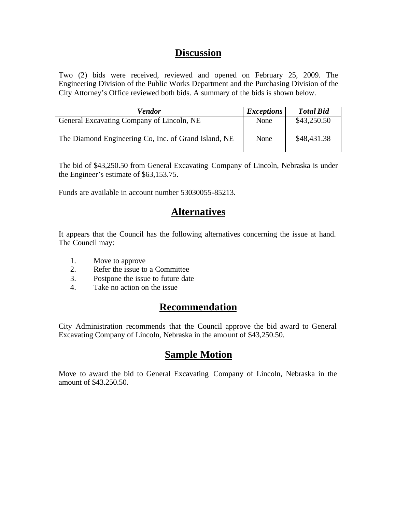### **Discussion**

Two (2) bids were received, reviewed and opened on February 25, 2009. The Engineering Division of the Public Works Department and the Purchasing Division of the City Attorney's Office reviewed both bids. A summary of the bids is shown below.

| Vendor                                               | <i>Exceptions</i> | <b>Total Bid</b> |
|------------------------------------------------------|-------------------|------------------|
| General Excavating Company of Lincoln, NE            | None              | \$43,250.50      |
| The Diamond Engineering Co, Inc. of Grand Island, NE | None              | \$48,431.38      |

The bid of \$43,250.50 from General Excavating Company of Lincoln, Nebraska is under the Engineer's estimate of \$63,153.75.

Funds are available in account number 53030055-85213.

### **Alternatives**

It appears that the Council has the following alternatives concerning the issue at hand. The Council may:

- 1. Move to approve
- 2. Refer the issue to a Committee
- 3. Postpone the issue to future date
- 4. Take no action on the issue

## **Recommendation**

City Administration recommends that the Council approve the bid award to General Excavating Company of Lincoln, Nebraska in the amount of \$43,250.50.

## **Sample Motion**

Move to award the bid to General Excavating Company of Lincoln, Nebraska in the amount of \$43.250.50.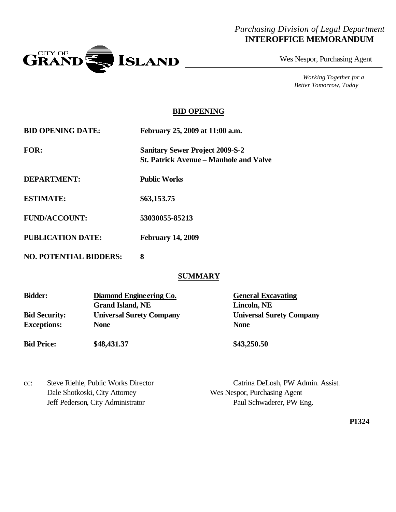#### *Purchasing Division of Legal Department* **INTEROFFICE MEMORANDUM**



Wes Nespor, Purchasing Agent

*Working Together for a Better Tomorrow, Today*

#### **BID OPENING**

| <b>BID OPENING DATE:</b> | February 25, 2009 at 11:00 a.m.                                                         |
|--------------------------|-----------------------------------------------------------------------------------------|
| <b>FOR:</b>              | <b>Sanitary Sewer Project 2009-S-2</b><br><b>St. Patrick Avenue – Manhole and Valve</b> |
| <b>DEPARTMENT:</b>       | <b>Public Works</b>                                                                     |
| <b>ESTIMATE:</b>         | \$63,153.75                                                                             |
| <b>FUND/ACCOUNT:</b>     | 53030055-85213                                                                          |
| <b>PUBLICATION DATE:</b> | <b>February 14, 2009</b>                                                                |

**NO. POTENTIAL BIDDERS: 8**

#### **SUMMARY**

| <b>Bidder:</b>       | Diamond Engine ering Co.        | <b>General Excavating</b>       |  |
|----------------------|---------------------------------|---------------------------------|--|
|                      | <b>Grand Island, NE</b>         | Lincoln, NE                     |  |
| <b>Bid Security:</b> | <b>Universal Surety Company</b> | <b>Universal Surety Company</b> |  |
| <b>Exceptions:</b>   | <b>None</b>                     | <b>None</b>                     |  |
| <b>Bid Price:</b>    | \$48,431.37                     | \$43,250.50                     |  |

cc: Steve Riehle, Public Works Director Catrina DeLosh, PW Admin. Assist. Dale Shotkoski, City Attorney Wes Nespor, Purchasing Agent Jeff Pederson, City Administrator Paul Schwaderer, PW Eng.

**P1324**